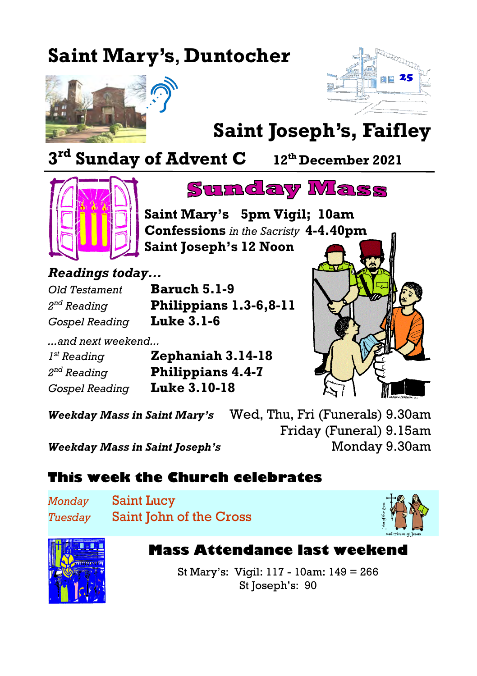## **Saint Mary's**, **Duntocher**





# **Saint Joseph's, Faifley**

**3 rd Sunday of Advent C <sup>12</sup>th December 2021**



 $2^{nd}$  Reading



**Saint Mary's 5pm Vigil; 10am Confessions** *in the Sacristy* **4-4.40pm Saint Joseph's 12 Noon**

*Readings today...*

*Old Testament* **Baruch 5.1-9** *nd Reading* **Philippians 1.3-6,8-11** *Gospel Reading* **Luke 3.1-6**

*...and next weekend...*  $I^{st}$  Reading *st Reading* **Zephaniah 3.14-18**  $2^{nd}$  Reading *nd Reading* **Philippians 4.4-7** *Gospel Reading* **Luke 3.10-18**

*Weekday Mass in Saint Mary's* Wed, Thu, Fri (Funerals) 9.30am Friday (Funeral) 9.15am *Weekday Mass in Saint Joseph's* Monday 9.30am

#### **This week the Church celebrates**

*Monday* Saint Lucy *Tuesday* Saint John of the Cross





**Mass Attendance last weekend**

St Mary's: Vigil: 117 - 10am: 149 = 266 St Joseph's: 90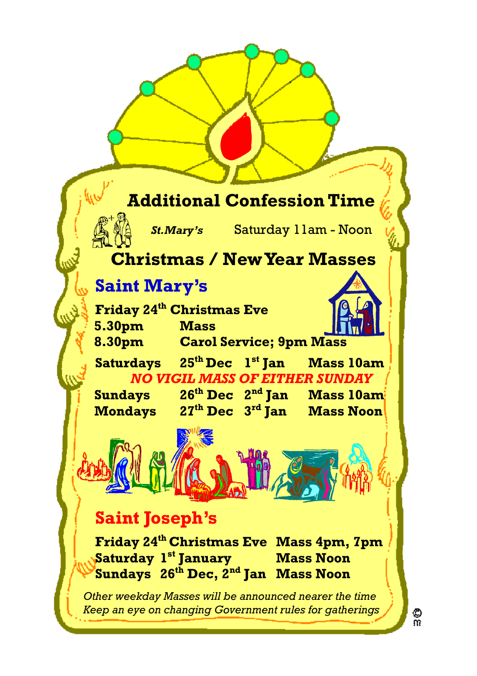#### **Additional Confession Time**

*St.Mary's* Saturday 11am - Noon

#### **Christmas / New Year Masses**

### **Saint Mary's**

**Friday 24th Christmas Eve 5.30pm Mass 8.30pm Carol Service; 9pm Mass**

**Saturdays 25th Dec 1 st Jan Mass 10am** *NO VIGIL MASS OF EITHER SUNDAY*

**Mondays** 

**Sundays 26th Dec 2 nd Jan Mass 10am** 27<sup>th</sup> Dec 3<sup>rd</sup> Ian Mass Noon

## **Saint Joseph's**

**Friday 24th Christmas Eve Mass 4pm, 7pm Saturday 1 sta Mass Noon Sundays 26th Dec, 2nd Jan Mass Noon**

*Other weekday Masses will be announced nearer the time Keep an eye on changing Government rules for gatherings*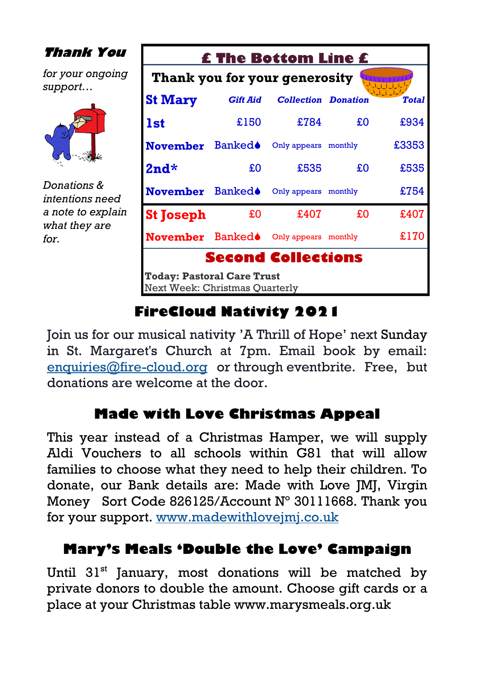| <b>Thank You</b>                                                             | <b>£ The Bottom Line £</b>                                          |                 |                            |    |              |
|------------------------------------------------------------------------------|---------------------------------------------------------------------|-----------------|----------------------------|----|--------------|
| for your ongoing<br>support                                                  | Thank you for your generosity                                       |                 |                            |    |              |
|                                                                              | <b>St Mary</b>                                                      | <b>Gift Aid</b> | <b>Collection Donation</b> |    | <b>Total</b> |
|                                                                              | <b>1st</b>                                                          | £150            | £784                       | £O | £934         |
|                                                                              | <b>November</b>                                                     | <b>Banked</b>   | Only appears monthly       |    | £3353        |
|                                                                              | $2nd*$                                                              | £O              | £535                       | £O | £535         |
| Donations &<br>intentions need<br>a note to explain<br>what they are<br>for. | November Banked <sup>®</sup>                                        |                 | Only appears monthly       |    | £754         |
|                                                                              | <b>St Joseph</b>                                                    | £Ο              | £407                       | £O | £407         |
|                                                                              | November Banked <sup>®</sup> Only appears monthly                   |                 |                            |    | £170         |
|                                                                              |                                                                     |                 | <b>Second Collections</b>  |    |              |
|                                                                              | <b>Today: Pastoral Care Trust</b><br>Next Week: Christmas Ouarterly |                 |                            |    |              |

#### **FireCloud Nativity 2021**

Join us for our musical nativity 'A Thrill of Hope' next Sunday in St. Margaret's Church at 7pm. Email book by email: [enquiries@fire-cloud.org](mailto:enquiries@fire-cloud.org) or through eventbrite. Free, but donations are welcome at the door.

#### **Made with Love Christmas Appeal**

This year instead of a Christmas Hamper, we will supply Aldi Vouchers to all schools within G81 that will allow families to choose what they need to help their children. To donate, our Bank details are: Made with Love JMJ, Virgin Money Sort Code 826125/Account N° 30111668. Thank you for your support. [www.madewithlovejmj.co.uk](http://www.madewithlovejmj.co.uk)

#### **Mary's Meals '[Double the Love'](https://www.marysmeals.org.uk/doublethelove) Campaign**

Until 31<sup>st</sup> January, most donations will be matched by private donors to double the amount. Choose gift cards or a place at your Christmas table [www.marysmeals.org.uk](http://www.marysmeals.org.uk)